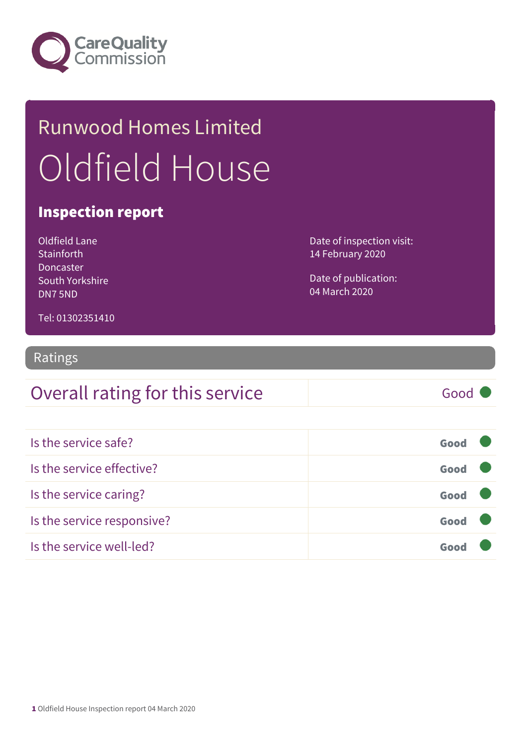

## Runwood Homes Limited Oldfield House

### Inspection report

Oldfield Lane **Stainforth** Doncaster South Yorkshire DN7 5ND

Date of inspection visit: 14 February 2020

Date of publication: 04 March 2020

Tel: 01302351410

### Ratings

| Overall rating for this service | Good |
|---------------------------------|------|
|---------------------------------|------|

| Is the service safe?       | Good |  |
|----------------------------|------|--|
| Is the service effective?  | Good |  |
| Is the service caring?     | Good |  |
| Is the service responsive? | Good |  |
| Is the service well-led?   |      |  |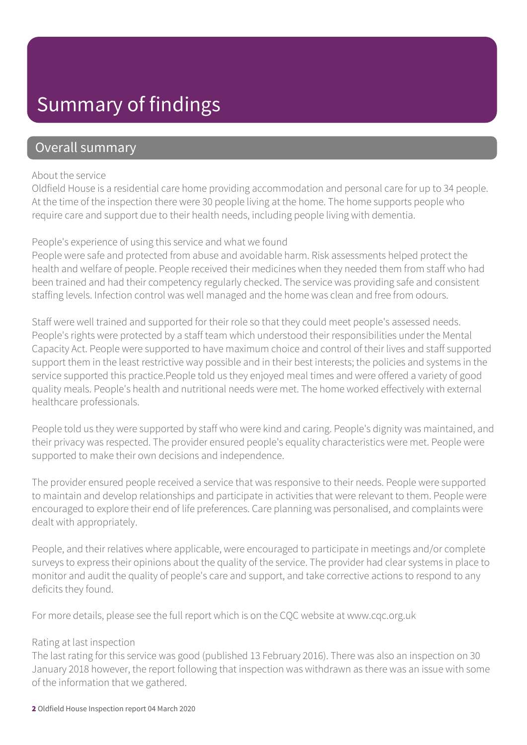### Summary of findings

### Overall summary

#### About the service

Oldfield House is a residential care home providing accommodation and personal care for up to 34 people. At the time of the inspection there were 30 people living at the home. The home supports people who require care and support due to their health needs, including people living with dementia.

#### People's experience of using this service and what we found

People were safe and protected from abuse and avoidable harm. Risk assessments helped protect the health and welfare of people. People received their medicines when they needed them from staff who had been trained and had their competency regularly checked. The service was providing safe and consistent staffing levels. Infection control was well managed and the home was clean and free from odours.

Staff were well trained and supported for their role so that they could meet people's assessed needs. People's rights were protected by a staff team which understood their responsibilities under the Mental Capacity Act. People were supported to have maximum choice and control of their lives and staff supported support them in the least restrictive way possible and in their best interests; the policies and systems in the service supported this practice.People told us they enjoyed meal times and were offered a variety of good quality meals. People's health and nutritional needs were met. The home worked effectively with external healthcare professionals.

People told us they were supported by staff who were kind and caring. People's dignity was maintained, and their privacy was respected. The provider ensured people's equality characteristics were met. People were supported to make their own decisions and independence.

The provider ensured people received a service that was responsive to their needs. People were supported to maintain and develop relationships and participate in activities that were relevant to them. People were encouraged to explore their end of life preferences. Care planning was personalised, and complaints were dealt with appropriately.

People, and their relatives where applicable, were encouraged to participate in meetings and/or complete surveys to express their opinions about the quality of the service. The provider had clear systems in place to monitor and audit the quality of people's care and support, and take corrective actions to respond to any deficits they found.

For more details, please see the full report which is on the CQC website at www.cqc.org.uk

#### Rating at last inspection

The last rating for this service was good (published 13 February 2016). There was also an inspection on 30 January 2018 however, the report following that inspection was withdrawn as there was an issue with some of the information that we gathered.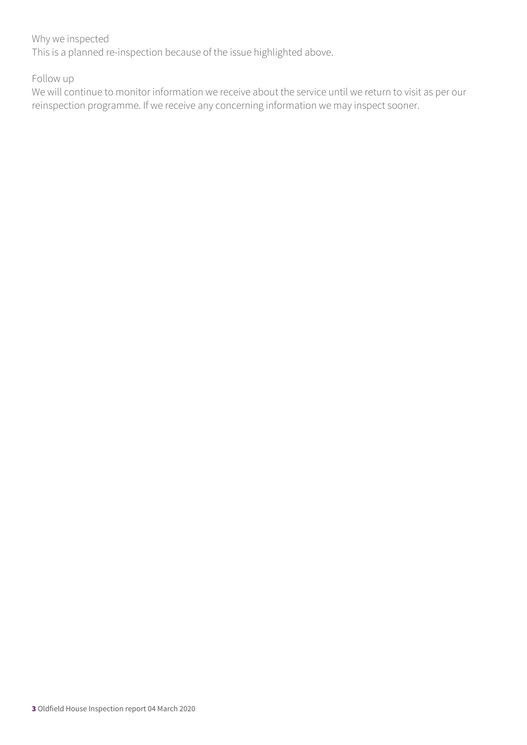#### Why we inspected

This is a planned re-inspection because of the issue highlighted above.

Follow up

We will continue to monitor information we receive about the service until we return to visit as per our reinspection programme. If we receive any concerning information we may inspect sooner.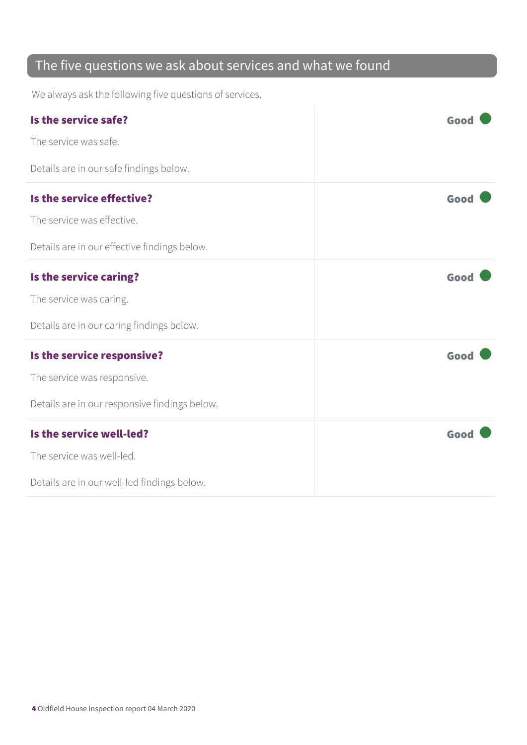### The five questions we ask about services and what we found

We always ask the following five questions of services.

| Is the service safe?                          | Good |
|-----------------------------------------------|------|
| The service was safe.                         |      |
| Details are in our safe findings below.       |      |
| Is the service effective?                     | Good |
| The service was effective.                    |      |
| Details are in our effective findings below.  |      |
| Is the service caring?                        | Good |
| The service was caring.                       |      |
| Details are in our caring findings below.     |      |
| Is the service responsive?                    | Good |
| The service was responsive.                   |      |
| Details are in our responsive findings below. |      |
| Is the service well-led?                      | Good |
| The service was well-led.                     |      |
| Details are in our well-led findings below.   |      |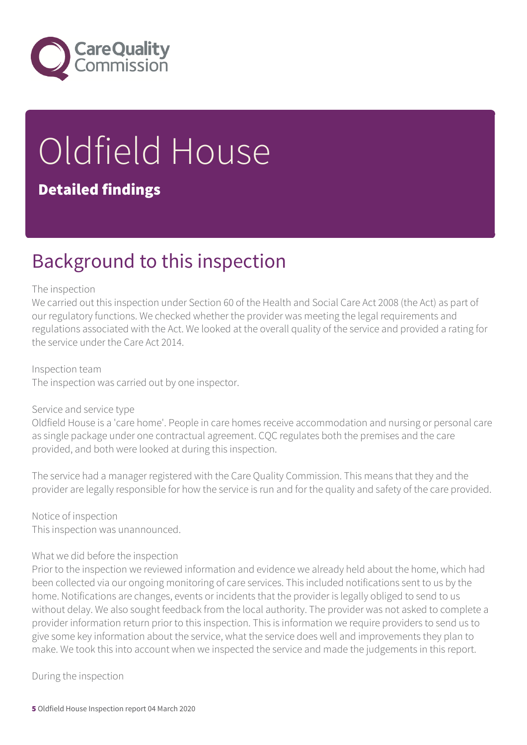

# Oldfield House

### Detailed findings

### Background to this inspection

#### The inspection

We carried out this inspection under Section 60 of the Health and Social Care Act 2008 (the Act) as part of our regulatory functions. We checked whether the provider was meeting the legal requirements and regulations associated with the Act. We looked at the overall quality of the service and provided a rating for the service under the Care Act 2014.

Inspection team The inspection was carried out by one inspector.

#### Service and service type

Oldfield House is a 'care home'. People in care homes receive accommodation and nursing or personal care as single package under one contractual agreement. CQC regulates both the premises and the care provided, and both were looked at during this inspection.

The service had a manager registered with the Care Quality Commission. This means that they and the provider are legally responsible for how the service is run and for the quality and safety of the care provided.

Notice of inspection This inspection was unannounced.

#### What we did before the inspection

Prior to the inspection we reviewed information and evidence we already held about the home, which had been collected via our ongoing monitoring of care services. This included notifications sent to us by the home. Notifications are changes, events or incidents that the provider is legally obliged to send to us without delay. We also sought feedback from the local authority. The provider was not asked to complete a provider information return prior to this inspection. This is information we require providers to send us to give some key information about the service, what the service does well and improvements they plan to make. We took this into account when we inspected the service and made the judgements in this report.

During the inspection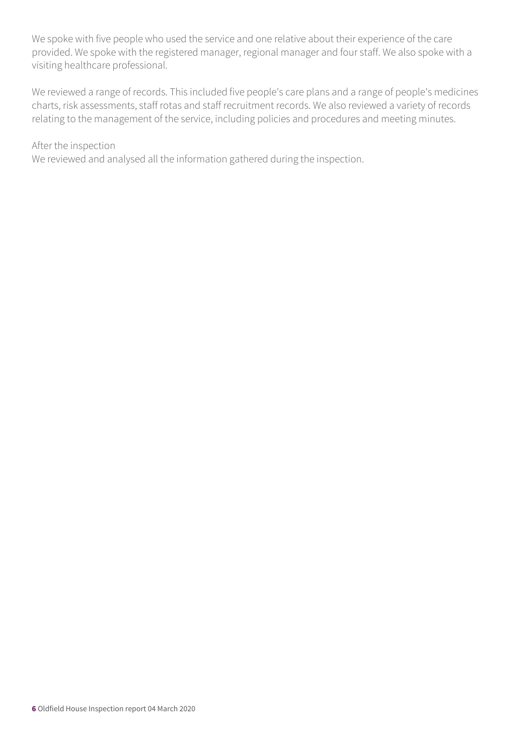We spoke with five people who used the service and one relative about their experience of the care provided. We spoke with the registered manager, regional manager and four staff. We also spoke with a visiting healthcare professional.

We reviewed a range of records. This included five people's care plans and a range of people's medicines charts, risk assessments, staff rotas and staff recruitment records. We also reviewed a variety of records relating to the management of the service, including policies and procedures and meeting minutes.

#### After the inspection

We reviewed and analysed all the information gathered during the inspection.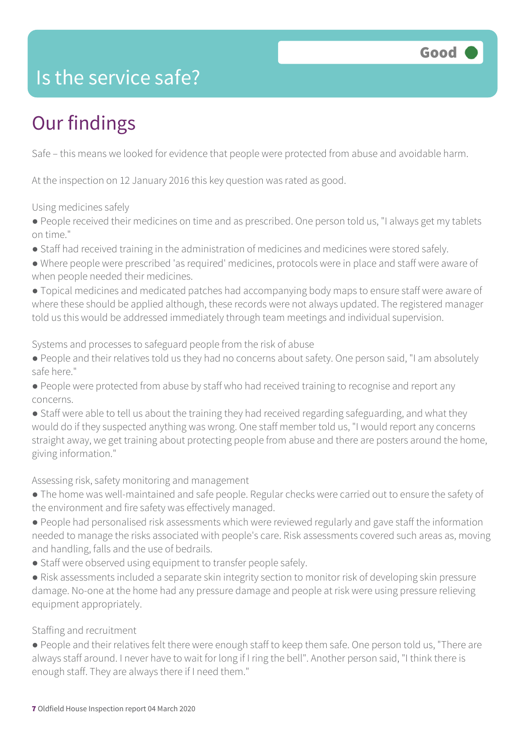

### Is the service safe?

### Our findings

Safe – this means we looked for evidence that people were protected from abuse and avoidable harm.

At the inspection on 12 January 2016 this key question was rated as good.

Using medicines safely

● People received their medicines on time and as prescribed. One person told us, "I always get my tablets on time."

● Staff had received training in the administration of medicines and medicines were stored safely.

● Where people were prescribed 'as required' medicines, protocols were in place and staff were aware of when people needed their medicines.

● Topical medicines and medicated patches had accompanying body maps to ensure staff were aware of where these should be applied although, these records were not always updated. The registered manager told us this would be addressed immediately through team meetings and individual supervision.

Systems and processes to safeguard people from the risk of abuse

- People and their relatives told us they had no concerns about safety. One person said, "I am absolutely safe here."
- People were protected from abuse by staff who had received training to recognise and report any concerns.
- Staff were able to tell us about the training they had received regarding safeguarding, and what they would do if they suspected anything was wrong. One staff member told us, "I would report any concerns straight away, we get training about protecting people from abuse and there are posters around the home, giving information."

#### Assessing risk, safety monitoring and management

- The home was well-maintained and safe people. Regular checks were carried out to ensure the safety of the environment and fire safety was effectively managed.
- People had personalised risk assessments which were reviewed regularly and gave staff the information needed to manage the risks associated with people's care. Risk assessments covered such areas as, moving and handling, falls and the use of bedrails.
- Staff were observed using equipment to transfer people safely.
- Risk assessments included a separate skin integrity section to monitor risk of developing skin pressure damage. No-one at the home had any pressure damage and people at risk were using pressure relieving equipment appropriately.

#### Staffing and recruitment

● People and their relatives felt there were enough staff to keep them safe. One person told us, "There are always staff around. I never have to wait for long if I ring the bell". Another person said, "I think there is enough staff. They are always there if I need them."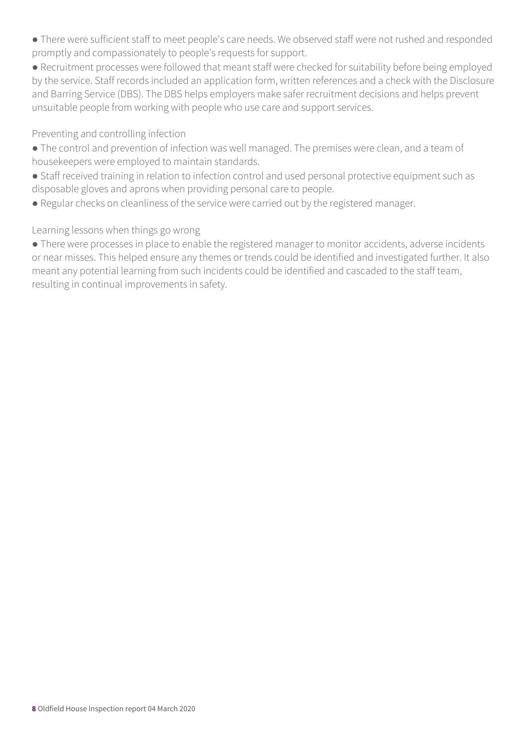- There were sufficient staff to meet people's care needs. We observed staff were not rushed and responded promptly and compassionately to people's requests for support.
- Recruitment processes were followed that meant staff were checked for suitability before being employed by the service. Staff records included an application form, written references and a check with the Disclosure and Barring Service (DBS). The DBS helps employers make safer recruitment decisions and helps prevent unsuitable people from working with people who use care and support services.

### Preventing and controlling infection

- The control and prevention of infection was well managed. The premises were clean, and a team of housekeepers were employed to maintain standards.
- Staff received training in relation to infection control and used personal protective equipment such as disposable gloves and aprons when providing personal care to people.
- Regular checks on cleanliness of the service were carried out by the registered manager.

### Learning lessons when things go wrong

● There were processes in place to enable the registered manager to monitor accidents, adverse incidents or near misses. This helped ensure any themes or trends could be identified and investigated further. It also meant any potential learning from such incidents could be identified and cascaded to the staff team, resulting in continual improvements in safety.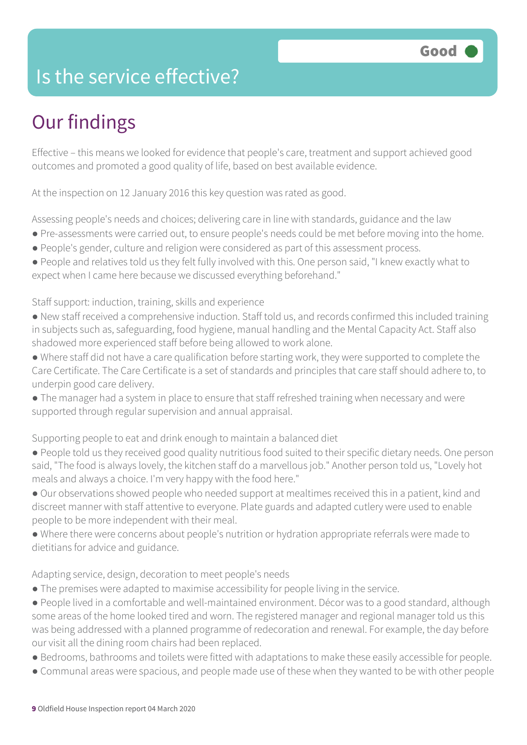### Is the service effective?

### Our findings

Effective – this means we looked for evidence that people's care, treatment and support achieved good outcomes and promoted a good quality of life, based on best available evidence.

At the inspection on 12 January 2016 this key question was rated as good.

Assessing people's needs and choices; delivering care in line with standards, guidance and the law

- Pre-assessments were carried out, to ensure people's needs could be met before moving into the home.
- People's gender, culture and religion were considered as part of this assessment process.
- People and relatives told us they felt fully involved with this. One person said, "I knew exactly what to expect when I came here because we discussed everything beforehand."

Staff support: induction, training, skills and experience

- New staff received a comprehensive induction. Staff told us, and records confirmed this included training in subjects such as, safeguarding, food hygiene, manual handling and the Mental Capacity Act. Staff also shadowed more experienced staff before being allowed to work alone.
- Where staff did not have a care qualification before starting work, they were supported to complete the Care Certificate. The Care Certificate is a set of standards and principles that care staff should adhere to, to underpin good care delivery.
- The manager had a system in place to ensure that staff refreshed training when necessary and were supported through regular supervision and annual appraisal.

Supporting people to eat and drink enough to maintain a balanced diet

- People told us they received good quality nutritious food suited to their specific dietary needs. One person said, "The food is always lovely, the kitchen staff do a marvellous job." Another person told us, "Lovely hot meals and always a choice. I'm very happy with the food here."
- Our observations showed people who needed support at mealtimes received this in a patient, kind and discreet manner with staff attentive to everyone. Plate guards and adapted cutlery were used to enable people to be more independent with their meal.
- Where there were concerns about people's nutrition or hydration appropriate referrals were made to dietitians for advice and guidance.

#### Adapting service, design, decoration to meet people's needs

- The premises were adapted to maximise accessibility for people living in the service.
- People lived in a comfortable and well-maintained environment. Décor was to a good standard, although some areas of the home looked tired and worn. The registered manager and regional manager told us this was being addressed with a planned programme of redecoration and renewal. For example, the day before our visit all the dining room chairs had been replaced.
- Bedrooms, bathrooms and toilets were fitted with adaptations to make these easily accessible for people.
- Communal areas were spacious, and people made use of these when they wanted to be with other people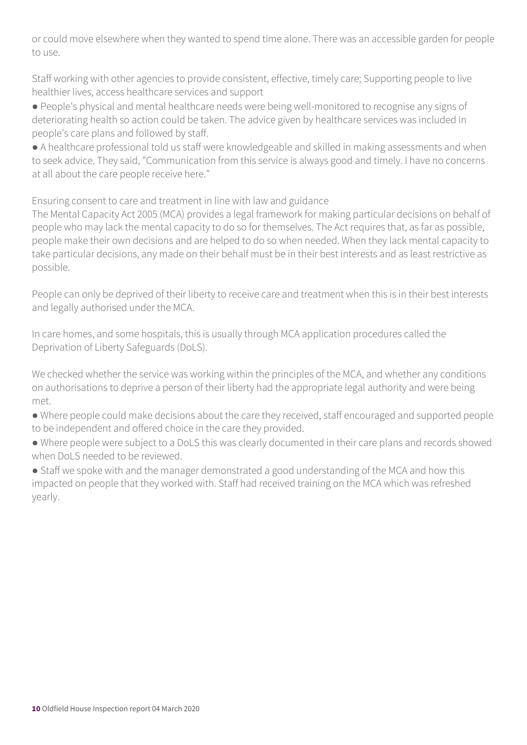or could move elsewhere when they wanted to spend time alone. There was an accessible garden for people to use.

Staff working with other agencies to provide consistent, effective, timely care; Supporting people to live healthier lives, access healthcare services and support

● People's physical and mental healthcare needs were being well-monitored to recognise any signs of deteriorating health so action could be taken. The advice given by healthcare services was included in people's care plans and followed by staff.

● A healthcare professional told us staff were knowledgeable and skilled in making assessments and when to seek advice. They said, "Communication from this service is always good and timely. I have no concerns at all about the care people receive here."

Ensuring consent to care and treatment in line with law and guidance

The Mental Capacity Act 2005 (MCA) provides a legal framework for making particular decisions on behalf of people who may lack the mental capacity to do so for themselves. The Act requires that, as far as possible, people make their own decisions and are helped to do so when needed. When they lack mental capacity to take particular decisions, any made on their behalf must be in their best interests and as least restrictive as possible.

People can only be deprived of their liberty to receive care and treatment when this is in their best interests and legally authorised under the MCA.

In care homes, and some hospitals, this is usually through MCA application procedures called the Deprivation of Liberty Safeguards (DoLS).

We checked whether the service was working within the principles of the MCA, and whether any conditions on authorisations to deprive a person of their liberty had the appropriate legal authority and were being met.

● Where people could make decisions about the care they received, staff encouraged and supported people to be independent and offered choice in the care they provided.

● Where people were subject to a DoLS this was clearly documented in their care plans and records showed when DoLS needed to be reviewed.

• Staff we spoke with and the manager demonstrated a good understanding of the MCA and how this impacted on people that they worked with. Staff had received training on the MCA which was refreshed yearly.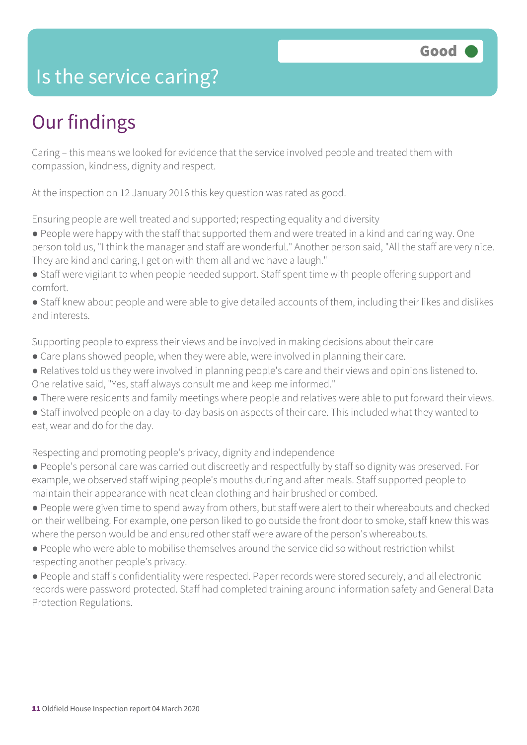### Is the service caring?

### Our findings

Caring – this means we looked for evidence that the service involved people and treated them with compassion, kindness, dignity and respect.

At the inspection on 12 January 2016 this key question was rated as good.

Ensuring people are well treated and supported; respecting equality and diversity

- People were happy with the staff that supported them and were treated in a kind and caring way. One person told us, "I think the manager and staff are wonderful." Another person said, "All the staff are very nice. They are kind and caring, I get on with them all and we have a laugh."
- Staff were vigilant to when people needed support. Staff spent time with people offering support and comfort.
- Staff knew about people and were able to give detailed accounts of them, including their likes and dislikes and interests.

Supporting people to express their views and be involved in making decisions about their care

- Care plans showed people, when they were able, were involved in planning their care.
- Relatives told us they were involved in planning people's care and their views and opinions listened to. One relative said, "Yes, staff always consult me and keep me informed."
- There were residents and family meetings where people and relatives were able to put forward their views.
- Staff involved people on a day-to-day basis on aspects of their care. This included what they wanted to eat, wear and do for the day.

Respecting and promoting people's privacy, dignity and independence

- People's personal care was carried out discreetly and respectfully by staff so dignity was preserved. For example, we observed staff wiping people's mouths during and after meals. Staff supported people to maintain their appearance with neat clean clothing and hair brushed or combed.
- People were given time to spend away from others, but staff were alert to their whereabouts and checked on their wellbeing. For example, one person liked to go outside the front door to smoke, staff knew this was where the person would be and ensured other staff were aware of the person's whereabouts.
- People who were able to mobilise themselves around the service did so without restriction whilst respecting another people's privacy.
- People and staff's confidentiality were respected. Paper records were stored securely, and all electronic records were password protected. Staff had completed training around information safety and General Data Protection Regulations.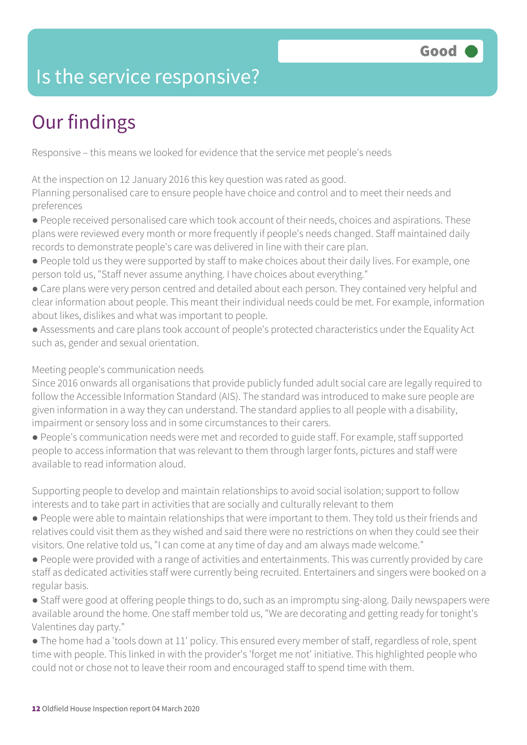### Is the service responsive?

### Our findings

Responsive – this means we looked for evidence that the service met people's needs

At the inspection on 12 January 2016 this key question was rated as good.

Planning personalised care to ensure people have choice and control and to meet their needs and preferences

● People received personalised care which took account of their needs, choices and aspirations. These plans were reviewed every month or more frequently if people's needs changed. Staff maintained daily records to demonstrate people's care was delivered in line with their care plan.

- People told us they were supported by staff to make choices about their daily lives. For example, one person told us, "Staff never assume anything. I have choices about everything."
- Care plans were very person centred and detailed about each person. They contained very helpful and clear information about people. This meant their individual needs could be met. For example, information about likes, dislikes and what was important to people.
- Assessments and care plans took account of people's protected characteristics under the Equality Act such as, gender and sexual orientation.

#### Meeting people's communication needs

Since 2016 onwards all organisations that provide publicly funded adult social care are legally required to follow the Accessible Information Standard (AIS). The standard was introduced to make sure people are given information in a way they can understand. The standard applies to all people with a disability, impairment or sensory loss and in some circumstances to their carers.

● People's communication needs were met and recorded to guide staff. For example, staff supported people to access information that was relevant to them through larger fonts, pictures and staff were available to read information aloud.

Supporting people to develop and maintain relationships to avoid social isolation; support to follow interests and to take part in activities that are socially and culturally relevant to them

- People were able to maintain relationships that were important to them. They told us their friends and relatives could visit them as they wished and said there were no restrictions on when they could see their visitors. One relative told us, "I can come at any time of day and am always made welcome."
- People were provided with a range of activities and entertainments. This was currently provided by care staff as dedicated activities staff were currently being recruited. Entertainers and singers were booked on a regular basis.
- Staff were good at offering people things to do, such as an impromptu sing-along. Daily newspapers were available around the home. One staff member told us, "We are decorating and getting ready for tonight's Valentines day party."
- The home had a 'tools down at 11' policy. This ensured every member of staff, regardless of role, spent time with people. This linked in with the provider's 'forget me not' initiative. This highlighted people who could not or chose not to leave their room and encouraged staff to spend time with them.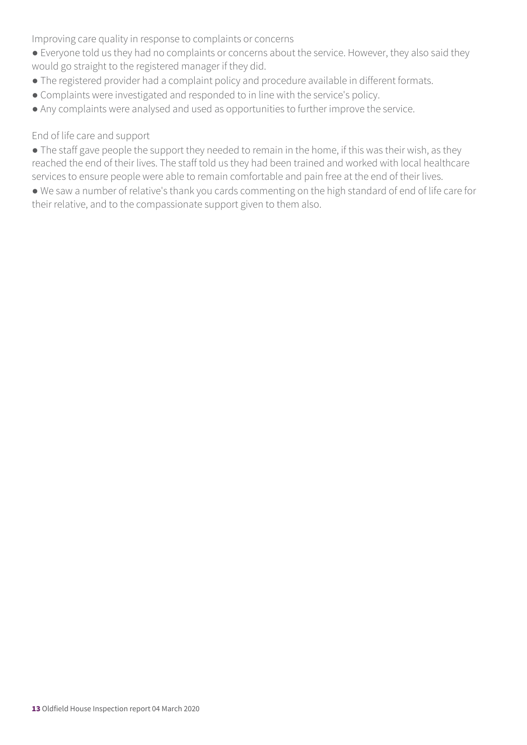Improving care quality in response to complaints or concerns

- Everyone told us they had no complaints or concerns about the service. However, they also said they would go straight to the registered manager if they did.
- The registered provider had a complaint policy and procedure available in different formats.
- Complaints were investigated and responded to in line with the service's policy.
- Any complaints were analysed and used as opportunities to further improve the service.

#### End of life care and support

• The staff gave people the support they needed to remain in the home, if this was their wish, as they reached the end of their lives. The staff told us they had been trained and worked with local healthcare services to ensure people were able to remain comfortable and pain free at the end of their lives.

● We saw a number of relative's thank you cards commenting on the high standard of end of life care for their relative, and to the compassionate support given to them also.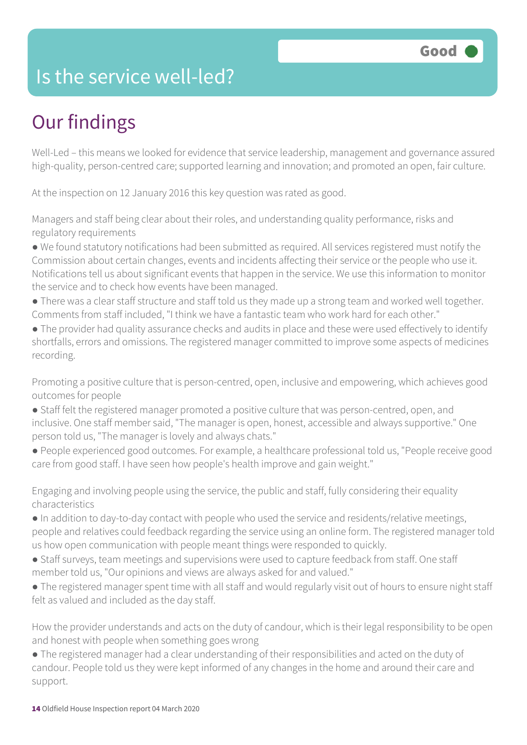### Is the service well-led?

### Our findings

Well-Led – this means we looked for evidence that service leadership, management and governance assured high-quality, person-centred care; supported learning and innovation; and promoted an open, fair culture.

At the inspection on 12 January 2016 this key question was rated as good.

Managers and staff being clear about their roles, and understanding quality performance, risks and regulatory requirements

● We found statutory notifications had been submitted as required. All services registered must notify the Commission about certain changes, events and incidents affecting their service or the people who use it. Notifications tell us about significant events that happen in the service. We use this information to monitor the service and to check how events have been managed.

- There was a clear staff structure and staff told us they made up a strong team and worked well together. Comments from staff included, "I think we have a fantastic team who work hard for each other."
- The provider had quality assurance checks and audits in place and these were used effectively to identify shortfalls, errors and omissions. The registered manager committed to improve some aspects of medicines recording.

Promoting a positive culture that is person-centred, open, inclusive and empowering, which achieves good outcomes for people

- Staff felt the registered manager promoted a positive culture that was person-centred, open, and inclusive. One staff member said, "The manager is open, honest, accessible and always supportive." One person told us, "The manager is lovely and always chats."
- People experienced good outcomes. For example, a healthcare professional told us, "People receive good care from good staff. I have seen how people's health improve and gain weight."

Engaging and involving people using the service, the public and staff, fully considering their equality characteristics

- In addition to day-to-day contact with people who used the service and residents/relative meetings, people and relatives could feedback regarding the service using an online form. The registered manager told us how open communication with people meant things were responded to quickly.
- Staff surveys, team meetings and supervisions were used to capture feedback from staff. One staff member told us, "Our opinions and views are always asked for and valued."
- The registered manager spent time with all staff and would regularly visit out of hours to ensure night staff felt as valued and included as the day staff.

How the provider understands and acts on the duty of candour, which is their legal responsibility to be open and honest with people when something goes wrong

● The registered manager had a clear understanding of their responsibilities and acted on the duty of candour. People told us they were kept informed of any changes in the home and around their care and support.